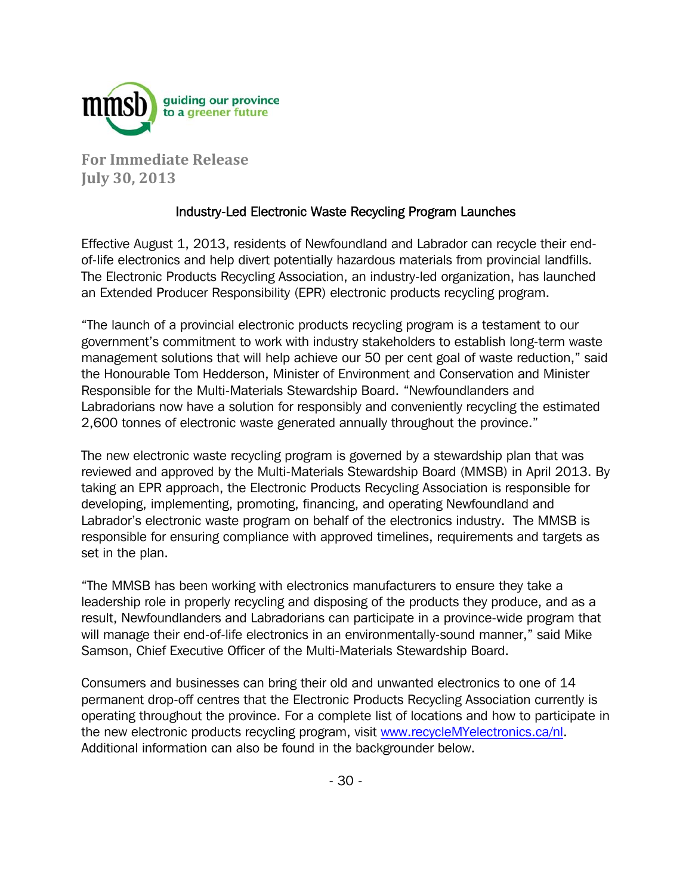

**For Immediate Release July 30, 2013**

## Industry-Led Electronic Waste Recycling Program Launches

Effective August 1, 2013, residents of Newfoundland and Labrador can recycle their endof-life electronics and help divert potentially hazardous materials from provincial landfills. The Electronic Products Recycling Association, an industry-led organization, has launched an Extended Producer Responsibility (EPR) electronic products recycling program.

"The launch of a provincial electronic products recycling program is a testament to our government's commitment to work with industry stakeholders to establish long-term waste management solutions that will help achieve our 50 per cent goal of waste reduction," said the Honourable Tom Hedderson, Minister of Environment and Conservation and Minister Responsible for the Multi-Materials Stewardship Board. "Newfoundlanders and Labradorians now have a solution for responsibly and conveniently recycling the estimated 2,600 tonnes of electronic waste generated annually throughout the province."

The new electronic waste recycling program is governed by a stewardship plan that was reviewed and approved by the Multi-Materials Stewardship Board (MMSB) in April 2013. By taking an EPR approach, the Electronic Products Recycling Association is responsible for developing, implementing, promoting, financing, and operating Newfoundland and Labrador's electronic waste program on behalf of the electronics industry. The MMSB is responsible for ensuring compliance with approved timelines, requirements and targets as set in the plan.

"The MMSB has been working with electronics manufacturers to ensure they take a leadership role in properly recycling and disposing of the products they produce, and as a result, Newfoundlanders and Labradorians can participate in a province-wide program that will manage their end-of-life electronics in an environmentally-sound manner," said Mike Samson, Chief Executive Officer of the Multi-Materials Stewardship Board.

Consumers and businesses can bring their old and unwanted electronics to one of 14 permanent drop-off centres that the Electronic Products Recycling Association currently is operating throughout the province. For a complete list of locations and how to participate in the new electronic products recycling program, visit www.recycleMYelectronics.ca/nl. Additional information can also be found in the backgrounder below.